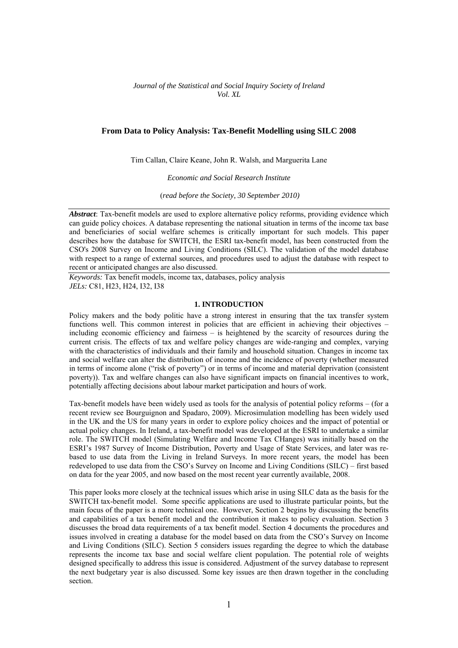*Journal of the Statistical and Social Inquiry Society of Ireland Vol. XL* 

# **From Data to Policy Analysis: Tax-Benefit Modelling using SILC 2008**

Tim Callan, Claire Keane, John R. Walsh, and Marguerita Lane

*Economic and Social Research Institute* 

(*read before the Society, 30 September 2010)* 

*Abstract*: Tax-benefit models are used to explore alternative policy reforms, providing evidence which can guide policy choices. A database representing the national situation in terms of the income tax base and beneficiaries of social welfare schemes is critically important for such models. This paper describes how the database for SWITCH, the ESRI tax-benefit model, has been constructed from the CSO's 2008 Survey on Income and Living Conditions (SILC). The validation of the model database with respect to a range of external sources, and procedures used to adjust the database with respect to recent or anticipated changes are also discussed.

*Keywords:* Tax benefit models, income tax, databases, policy analysis *JELs:* C81, H23, H24, I32, I38

#### **1. INTRODUCTION**

Policy makers and the body politic have a strong interest in ensuring that the tax transfer system functions well. This common interest in policies that are efficient in achieving their objectives – including economic efficiency and fairness – is heightened by the scarcity of resources during the current crisis. The effects of tax and welfare policy changes are wide-ranging and complex, varying with the characteristics of individuals and their family and household situation. Changes in income tax and social welfare can alter the distribution of income and the incidence of poverty (whether measured in terms of income alone ("risk of poverty") or in terms of income and material deprivation (consistent poverty)). Tax and welfare changes can also have significant impacts on financial incentives to work, potentially affecting decisions about labour market participation and hours of work.

Tax-benefit models have been widely used as tools for the analysis of potential policy reforms – (for a recent review see Bourguignon and Spadaro, 2009). Microsimulation modelling has been widely used in the UK and the US for many years in order to explore policy choices and the impact of potential or actual policy changes. In Ireland, a tax-benefit model was developed at the ESRI to undertake a similar role. The SWITCH model (Simulating Welfare and Income Tax CHanges) was initially based on the ESRI's 1987 Survey of Income Distribution, Poverty and Usage of State Services, and later was rebased to use data from the Living in Ireland Surveys. In more recent years, the model has been redeveloped to use data from the CSO's Survey on Income and Living Conditions (SILC) – first based on data for the year 2005, and now based on the most recent year currently available, 2008.

This paper looks more closely at the technical issues which arise in using SILC data as the basis for the SWITCH tax-benefit model. Some specific applications are used to illustrate particular points, but the main focus of the paper is a more technical one. However, Section 2 begins by discussing the benefits and capabilities of a tax benefit model and the contribution it makes to policy evaluation. Section 3 discusses the broad data requirements of a tax benefit model. Section 4 documents the procedures and issues involved in creating a database for the model based on data from the CSO's Survey on Income and Living Conditions (SILC). Section 5 considers issues regarding the degree to which the database represents the income tax base and social welfare client population. The potential role of weights designed specifically to address this issue is considered. Adjustment of the survey database to represent the next budgetary year is also discussed. Some key issues are then drawn together in the concluding section.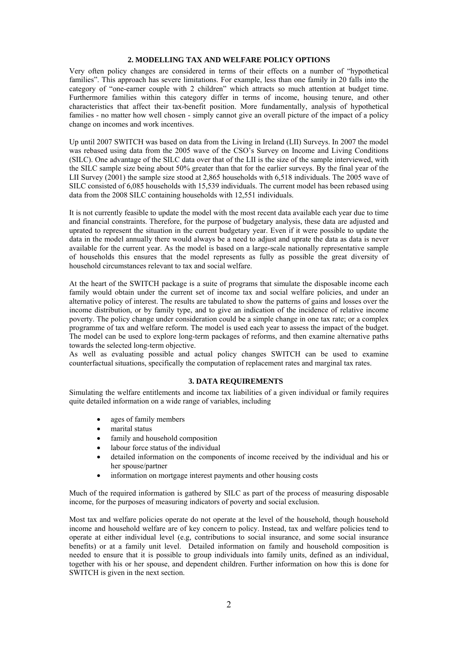## **2. MODELLING TAX AND WELFARE POLICY OPTIONS**

Very often policy changes are considered in terms of their effects on a number of "hypothetical families". This approach has severe limitations. For example, less than one family in 20 falls into the category of "one-earner couple with 2 children" which attracts so much attention at budget time. Furthermore families within this category differ in terms of income, housing tenure, and other characteristics that affect their tax-benefit position. More fundamentally, analysis of hypothetical families - no matter how well chosen - simply cannot give an overall picture of the impact of a policy change on incomes and work incentives.

Up until 2007 SWITCH was based on data from the Living in Ireland (LII) Surveys. In 2007 the model was rebased using data from the 2005 wave of the CSO's Survey on Income and Living Conditions (SILC). One advantage of the SILC data over that of the LII is the size of the sample interviewed, with the SILC sample size being about 50% greater than that for the earlier surveys. By the final year of the LII Survey (2001) the sample size stood at 2,865 households with 6,518 individuals. The 2005 wave of SILC consisted of 6,085 households with 15,539 individuals. The current model has been rebased using data from the 2008 SILC containing households with 12,551 individuals.

It is not currently feasible to update the model with the most recent data available each year due to time and financial constraints. Therefore, for the purpose of budgetary analysis, these data are adjusted and uprated to represent the situation in the current budgetary year. Even if it were possible to update the data in the model annually there would always be a need to adjust and uprate the data as data is never available for the current year. As the model is based on a large-scale nationally representative sample of households this ensures that the model represents as fully as possible the great diversity of household circumstances relevant to tax and social welfare.

At the heart of the SWITCH package is a suite of programs that simulate the disposable income each family would obtain under the current set of income tax and social welfare policies, and under an alternative policy of interest. The results are tabulated to show the patterns of gains and losses over the income distribution, or by family type, and to give an indication of the incidence of relative income poverty. The policy change under consideration could be a simple change in one tax rate; or a complex programme of tax and welfare reform. The model is used each year to assess the impact of the budget. The model can be used to explore long-term packages of reforms, and then examine alternative paths towards the selected long-term objective.

As well as evaluating possible and actual policy changes SWITCH can be used to examine counterfactual situations, specifically the computation of replacement rates and marginal tax rates.

## **3. DATA REQUIREMENTS**

Simulating the welfare entitlements and income tax liabilities of a given individual or family requires quite detailed information on a wide range of variables, including

- ages of family members
- marital status
- family and household composition
- labour force status of the individual
- detailed information on the components of income received by the individual and his or her spouse/partner
- information on mortgage interest payments and other housing costs

Much of the required information is gathered by SILC as part of the process of measuring disposable income, for the purposes of measuring indicators of poverty and social exclusion.

Most tax and welfare policies operate do not operate at the level of the household, though household income and household welfare are of key concern to policy. Instead, tax and welfare policies tend to operate at either individual level (e.g, contributions to social insurance, and some social insurance benefits) or at a family unit level. Detailed information on family and household composition is needed to ensure that it is possible to group individuals into family units, defined as an individual, together with his or her spouse, and dependent children. Further information on how this is done for SWITCH is given in the next section.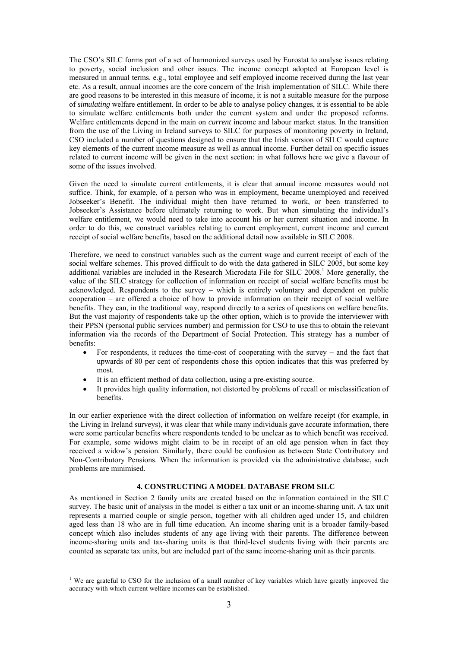The CSO's SILC forms part of a set of harmonized surveys used by Eurostat to analyse issues relating to poverty, social inclusion and other issues. The income concept adopted at European level is measured in annual terms. e.g., total employee and self employed income received during the last year etc. As a result, annual incomes are the core concern of the Irish implementation of SILC. While there are good reasons to be interested in this measure of income, it is not a suitable measure for the purpose of *simulating* welfare entitlement. In order to be able to analyse policy changes, it is essential to be able to simulate welfare entitlements both under the current system and under the proposed reforms. Welfare entitlements depend in the main on *current* income and labour market status. In the transition from the use of the Living in Ireland surveys to SILC for purposes of monitoring poverty in Ireland, CSO included a number of questions designed to ensure that the Irish version of SILC would capture key elements of the current income measure as well as annual income. Further detail on specific issues related to current income will be given in the next section: in what follows here we give a flavour of some of the issues involved.

Given the need to simulate current entitlements, it is clear that annual income measures would not suffice. Think, for example, of a person who was in employment, became unemployed and received Jobseeker's Benefit. The individual might then have returned to work, or been transferred to Jobseeker's Assistance before ultimately returning to work. But when simulating the individual's welfare entitlement, we would need to take into account his or her current situation and income. In order to do this, we construct variables relating to current employment, current income and current receipt of social welfare benefits, based on the additional detail now available in SILC 2008.

Therefore, we need to construct variables such as the current wage and current receipt of each of the social welfare schemes. This proved difficult to do with the data gathered in SILC 2005, but some key additional variables are included in the Research Microdata File for SILC 2008.<sup>1</sup> More generally, the value of the SILC strategy for collection of information on receipt of social welfare benefits must be acknowledged. Respondents to the survey – which is entirely voluntary and dependent on public cooperation – are offered a choice of how to provide information on their receipt of social welfare benefits. They can, in the traditional way, respond directly to a series of questions on welfare benefits. But the vast majority of respondents take up the other option, which is to provide the interviewer with their PPSN (personal public services number) and permission for CSO to use this to obtain the relevant information via the records of the Department of Social Protection. This strategy has a number of benefits:

- For respondents, it reduces the time-cost of cooperating with the survey and the fact that upwards of 80 per cent of respondents chose this option indicates that this was preferred by most.
- It is an efficient method of data collection, using a pre-existing source.
- It provides high quality information, not distorted by problems of recall or misclassification of benefits.

In our earlier experience with the direct collection of information on welfare receipt (for example, in the Living in Ireland surveys), it was clear that while many individuals gave accurate information, there were some particular benefits where respondents tended to be unclear as to which benefit was received. For example, some widows might claim to be in receipt of an old age pension when in fact they received a widow's pension. Similarly, there could be confusion as between State Contributory and Non-Contributory Pensions. When the information is provided via the administrative database, such problems are minimised.

### **4. CONSTRUCTING A MODEL DATABASE FROM SILC**

As mentioned in Section 2 family units are created based on the information contained in the SILC survey. The basic unit of analysis in the model is either a tax unit or an income-sharing unit. A tax unit represents a married couple or single person, together with all children aged under 15, and children aged less than 18 who are in full time education. An income sharing unit is a broader family-based concept which also includes students of any age living with their parents. The difference between income-sharing units and tax-sharing units is that third-level students living with their parents are counted as separate tax units, but are included part of the same income-sharing unit as their parents.

-

<sup>&</sup>lt;sup>1</sup> We are grateful to CSO for the inclusion of a small number of key variables which have greatly improved the accuracy with which current welfare incomes can be established.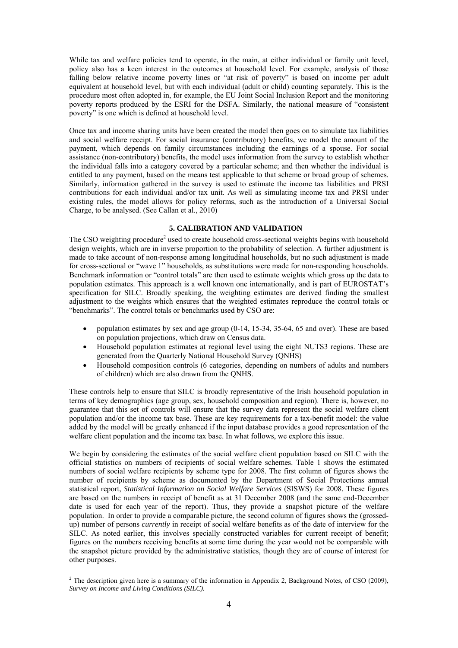While tax and welfare policies tend to operate, in the main, at either individual or family unit level, policy also has a keen interest in the outcomes at household level. For example, analysis of those falling below relative income poverty lines or "at risk of poverty" is based on income per adult equivalent at household level, but with each individual (adult or child) counting separately. This is the procedure most often adopted in, for example, the EU Joint Social Inclusion Report and the monitoring poverty reports produced by the ESRI for the DSFA. Similarly, the national measure of "consistent poverty" is one which is defined at household level.

Once tax and income sharing units have been created the model then goes on to simulate tax liabilities and social welfare receipt. For social insurance (contributory) benefits, we model the amount of the payment, which depends on family circumstances including the earnings of a spouse. For social assistance (non-contributory) benefits, the model uses information from the survey to establish whether the individual falls into a category covered by a particular scheme; and then whether the individual is entitled to any payment, based on the means test applicable to that scheme or broad group of schemes. Similarly, information gathered in the survey is used to estimate the income tax liabilities and PRSI contributions for each individual and/or tax unit. As well as simulating income tax and PRSI under existing rules, the model allows for policy reforms, such as the introduction of a Universal Social Charge, to be analysed. (See Callan et al., 2010)

## **5. CALIBRATION AND VALIDATION**

The CSO weighting procedure<sup>2</sup> used to create household cross-sectional weights begins with household design weights, which are in inverse proportion to the probability of selection. A further adjustment is made to take account of non-response among longitudinal households, but no such adjustment is made for cross-sectional or "wave 1" households, as substitutions were made for non-responding households. Benchmark information or "control totals" are then used to estimate weights which gross up the data to population estimates. This approach is a well known one internationally, and is part of EUROSTAT's specification for SILC. Broadly speaking, the weighting estimates are derived finding the smallest adjustment to the weights which ensures that the weighted estimates reproduce the control totals or "benchmarks". The control totals or benchmarks used by CSO are:

- population estimates by sex and age group  $(0-14, 15-34, 35-64, 65, 64)$  over). These are based on population projections, which draw on Census data.
- Household population estimates at regional level using the eight NUTS3 regions. These are generated from the Quarterly National Household Survey (QNHS)
- Household composition controls (6 categories, depending on numbers of adults and numbers of children) which are also drawn from the QNHS.

These controls help to ensure that SILC is broadly representative of the Irish household population in terms of key demographics (age group, sex, household composition and region). There is, however, no guarantee that this set of controls will ensure that the survey data represent the social welfare client population and/or the income tax base. These are key requirements for a tax-benefit model: the value added by the model will be greatly enhanced if the input database provides a good representation of the welfare client population and the income tax base. In what follows, we explore this issue.

We begin by considering the estimates of the social welfare client population based on SILC with the official statistics on numbers of recipients of social welfare schemes. Table 1 shows the estimated numbers of social welfare recipients by scheme type for 2008. The first column of figures shows the number of recipients by scheme as documented by the Department of Social Protections annual statistical report, *Statistical Information on Social Welfare Services* (SISWS) for 2008. These figures are based on the numbers in receipt of benefit as at 31 December 2008 (and the same end-December date is used for each year of the report). Thus, they provide a snapshot picture of the welfare population. In order to provide a comparable picture, the second column of figures shows the (grossedup) number of persons *currently* in receipt of social welfare benefits as of the date of interview for the SILC. As noted earlier, this involves specially constructed variables for current receipt of benefit; figures on the numbers receiving benefits at some time during the year would not be comparable with the snapshot picture provided by the administrative statistics, though they are of course of interest for other purposes.

<sup>&</sup>lt;sup>2</sup> The description given here is a summary of the information in Appendix 2, Background Notes, of CSO (2009), *Survey on Income and Living Conditions (SILC).*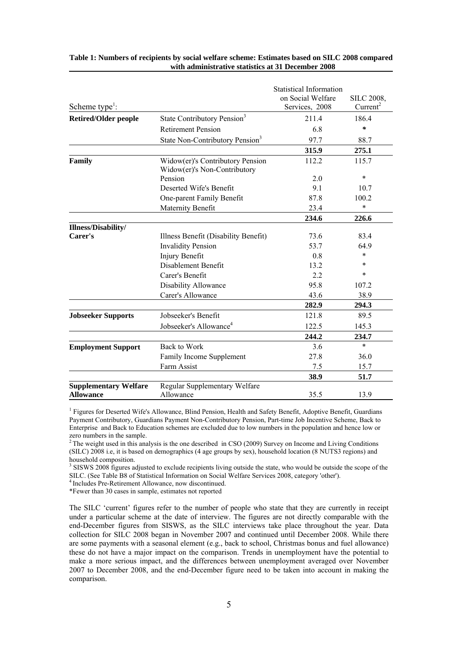| Scheme type <sup>1</sup> :                |                                                                  | <b>Statistical Information</b><br>on Social Welfare<br>Services, 2008 | SILC 2008,<br>Current <sup>2</sup> |
|-------------------------------------------|------------------------------------------------------------------|-----------------------------------------------------------------------|------------------------------------|
| <b>Retired/Older people</b>               | State Contributory Pension <sup>3</sup>                          | 211.4                                                                 | 186.4                              |
|                                           | <b>Retirement Pension</b>                                        | 6.8                                                                   | $\ast$                             |
|                                           | State Non-Contributory Pension <sup>3</sup>                      | 97.7                                                                  | 88.7                               |
|                                           |                                                                  | 315.9                                                                 | 275.1                              |
| Family                                    | Widow(er)'s Contributory Pension<br>Widow(er)'s Non-Contributory | 112.2                                                                 | 115.7                              |
|                                           | Pension                                                          | 2.0                                                                   | $\ast$                             |
|                                           | Deserted Wife's Benefit                                          | 9.1                                                                   | 10.7                               |
|                                           | One-parent Family Benefit                                        | 87.8                                                                  | 100.2                              |
|                                           | Maternity Benefit                                                | 23.4                                                                  | $\star$                            |
|                                           |                                                                  | 234.6                                                                 | 226.6                              |
| Illness/Disability/                       |                                                                  |                                                                       |                                    |
| Carer's                                   | Illness Benefit (Disability Benefit)                             | 73.6                                                                  | 83.4                               |
|                                           | <b>Invalidity Pension</b>                                        | 53.7                                                                  | 64.9                               |
|                                           | Injury Benefit                                                   | 0.8                                                                   | $\ast$                             |
|                                           | Disablement Benefit                                              | 13.2                                                                  | $\ast$                             |
|                                           | Carer's Benefit                                                  | 2.2                                                                   | $\ast$                             |
|                                           | Disability Allowance                                             | 95.8                                                                  | 107.2                              |
|                                           | Carer's Allowance                                                | 43.6                                                                  | 38.9                               |
|                                           |                                                                  | 282.9                                                                 | 294.3                              |
| <b>Jobseeker Supports</b>                 | Jobseeker's Benefit                                              | 121.8                                                                 | 89.5                               |
|                                           | Jobseeker's Allowance <sup>4</sup>                               | 122.5                                                                 | 145.3                              |
|                                           |                                                                  | 244.2                                                                 | 234.7                              |
| <b>Employment Support</b>                 | Back to Work                                                     | 3.6                                                                   | $\ast$                             |
|                                           | Family Income Supplement                                         | 27.8                                                                  | 36.0                               |
|                                           | Farm Assist                                                      | 7.5                                                                   | 15.7                               |
|                                           |                                                                  | 38.9                                                                  | 51.7                               |
| <b>Supplementary Welfare</b><br>Allowance | Regular Supplementary Welfare<br>Allowance                       | 35.5                                                                  | 13.9                               |

### **Table 1: Numbers of recipients by social welfare scheme: Estimates based on SILC 2008 compared with administrative statistics at 31 December 2008**

<sup>1</sup> Figures for Deserted Wife's Allowance, Blind Pension, Health and Safety Benefit, Adoptive Benefit, Guardians Payment Contributory, Guardians Payment Non-Contributory Pension, Part-time Job Incentive Scheme, Back to Enterprise and Back to Education schemes are excluded due to low numbers in the population and hence low or zero numbers in the sample.

<sup>2</sup> The weight used in this analysis is the one described in CSO (2009) Survey on Income and Living Conditions (SILC) 2008 i.e, it is based on demographics (4 age groups by sex), household location (8 NUTS3 regions) and household composition.

<sup>3</sup> SISWS 2008 figures adjusted to exclude recipients living outside the state, who would be outside the scope of the SILC. (See Table B8 of Statistical Information on Social Welfare Services 2008, category 'other'). 4 Includes Pre-Retirement Allowance, now discontinued.

\*Fewer than 30 cases in sample, estimates not reported

The SILC 'current' figures refer to the number of people who state that they are currently in receipt under a particular scheme at the date of interview. The figures are not directly comparable with the end-December figures from SISWS, as the SILC interviews take place throughout the year. Data collection for SILC 2008 began in November 2007 and continued until December 2008. While there are some payments with a seasonal element (e.g., back to school, Christmas bonus and fuel allowance) these do not have a major impact on the comparison. Trends in unemployment have the potential to make a more serious impact, and the differences between unemployment averaged over November 2007 to December 2008, and the end-December figure need to be taken into account in making the comparison.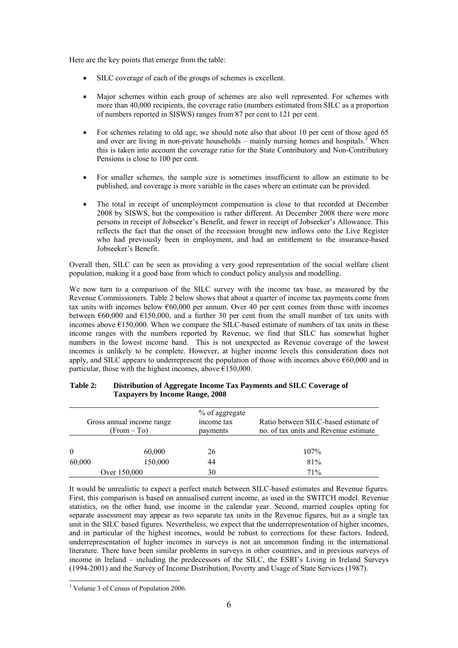Here are the key points that emerge from the table:

- SILC coverage of each of the groups of schemes is excellent.
- Major schemes within each group of schemes are also well represented. For schemes with more than 40,000 recipients, the coverage ratio (numbers estimated from SILC as a proportion of numbers reported in SISWS) ranges from 87 per cent to 121 per cent.
- For schemes relating to old age, we should note also that about 10 per cent of those aged 65 and over are living in non-private households  $-$  mainly nursing homes and hospitals.<sup>3</sup> When this is taken into account the coverage ratio for the State Contributory and Non-Contributory Pensions is close to 100 per cent.
- For smaller schemes, the sample size is sometimes insufficient to allow an estimate to be published, and coverage is more variable in the cases where an estimate can be provided.
- The total in receipt of unemployment compensation is close to that recorded at December 2008 by SISWS, but the composition is rather different. At December 2008 there were more persons in receipt of Jobseeker's Benefit, and fewer in receipt of Jobseeker's Allowance. This reflects the fact that the onset of the recession brought new inflows onto the Live Register who had previously been in employment, and had an entitlement to the insurance-based Jobseeker's Benefit.

Overall then, SILC can be seen as providing a very good representation of the social welfare client population, making it a good base from which to conduct policy analysis and modelling.

We now turn to a comparison of the SILC survey with the income tax base, as measured by the Revenue Commissioners. Table 2 below shows that about a quarter of income tax payments come from tax units with incomes below  $60,000$  per annum. Over 40 per cent comes from those with incomes between  $\epsilon$ 60,000 and  $\epsilon$ 150,000, and a further 30 per cent from the small number of tax units with incomes above  $E150,000$ . When we compare the SILC-based estimate of numbers of tax units in these income ranges with the numbers reported by Revenue, we find that SILC has somewhat higher numbers in the lowest income band. This is not unexpected as Revenue coverage of the lowest incomes is unlikely to be complete. However, at higher income levels this consideration does not apply, and SILC appears to underrepresent the population of those with incomes above  $660,000$  and in particular, those with the highest incomes, above  $\epsilon$ 150,000.

| Gross annual income range<br>(From – To) |              | % of aggregate<br>income tax<br>payments | Ratio between SILC-based estimate of<br>no. of tax units and Revenue estimate |
|------------------------------------------|--------------|------------------------------------------|-------------------------------------------------------------------------------|
| $\theta$                                 | 60,000       | 26                                       | 107%                                                                          |
| 60,000                                   | 150,000      | 44                                       | 81%                                                                           |
|                                          | Over 150,000 | 30                                       | 71%                                                                           |

## **Table 2: Distribution of Aggregate Income Tax Payments and SILC Coverage of Taxpayers by Income Range, 2008**

It would be unrealistic to expect a perfect match between SILC-based estimates and Revenue figures. First, this comparison is based on annualised current income, as used in the SWITCH model. Revenue statistics, on the other hand, use income in the calendar year. Second, married couples opting for separate assessment may appear as two separate tax units in the Revenue figures, but as a single tax unit in the SILC based figures. Nevertheless, we expect that the underrepresentation of higher incomes, and in particular of the highest incomes, would be robust to corrections for these factors. Indeed, underrepresentation of higher incomes in surveys is not an uncommon finding in the international literature. There have been similar problems in surveys in other countries, and in previous surveys of income in Ireland – including the predecessors of the SILC, the ESRI's Living in Ireland Surveys (1994-2001) and the Survey of Income Distribution, Poverty and Usage of State Services (1987).

 3 Volume 3 of Census of Population 2006.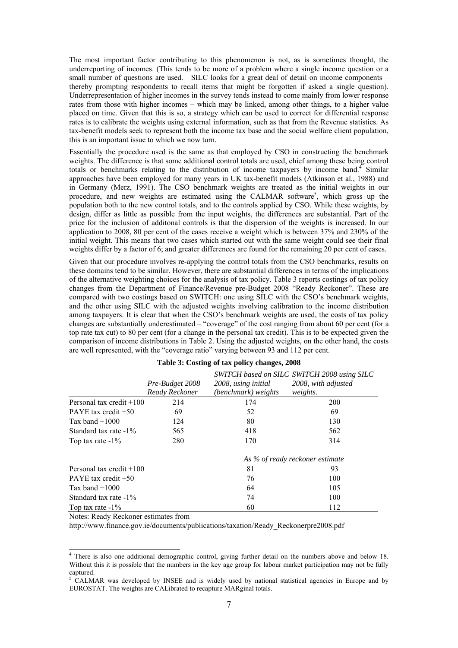The most important factor contributing to this phenomenon is not, as is sometimes thought, the underreporting of incomes. (This tends to be more of a problem where a single income question or a small number of questions are used. SILC looks for a great deal of detail on income components – thereby prompting respondents to recall items that might be forgotten if asked a single question). Underrepresentation of higher incomes in the survey tends instead to come mainly from lower response rates from those with higher incomes – which may be linked, among other things, to a higher value placed on time. Given that this is so, a strategy which can be used to correct for differential response rates is to calibrate the weights using external information, such as that from the Revenue statistics. As tax-benefit models seek to represent both the income tax base and the social welfare client population, this is an important issue to which we now turn.

Essentially the procedure used is the same as that employed by CSO in constructing the benchmark weights. The difference is that some additional control totals are used, chief among these being control totals or benchmarks relating to the distribution of income taxpayers by income band.<sup>4</sup> Similar approaches have been employed for many years in UK tax-benefit models (Atkinson et al., 1988) and in Germany (Merz, 1991). The CSO benchmark weights are treated as the initial weights in our procedure, and new weights are estimated using the CALMAR software<sup>5</sup>, which gross up the population both to the new control totals, and to the controls applied by CSO. While these weights, by design, differ as little as possible from the input weights, the differences are substantial. Part of the price for the inclusion of additonal controls is that the dispersion of the weights is increased. In our application to 2008, 80 per cent of the cases receive a weight which is between 37% and 230% of the initial weight. This means that two cases which started out with the same weight could see their final weights differ by a factor of 6; and greater differences are found for the remaining 20 per cent of cases.

Given that our procedure involves re-applying the control totals from the CSO benchmarks, results on these domains tend to be similar. However, there are substantial differences in terms of the implications of the alternative weighting choices for the analysis of tax policy. Table 3 reports costings of tax policy changes from the Department of Finance/Revenue pre-Budget 2008 "Ready Reckoner". These are compared with two costings based on SWITCH: one using SILC with the CSO's benchmark weights, and the other using SILC with the adjusted weights involving calibration to the income distribution among taxpayers. It is clear that when the CSO's benchmark weights are used, the costs of tax policy changes are substantially underestimated – "coverage" of the cost ranging from about 60 per cent (for a top rate tax cut) to 80 per cent (for a change in the personal tax credit). This is to be expected given the comparison of income distributions in Table 2. Using the adjusted weights, on the other hand, the costs are well represented, with the "coverage ratio" varying between 93 and 112 per cent.

|                            | Pre-Budget 2008<br>Ready Reckoner | 2008, using initial<br>(benchmark) weights | SWITCH based on SILC SWITCH 2008 using SILC<br>2008, with adjusted<br>weights. |
|----------------------------|-----------------------------------|--------------------------------------------|--------------------------------------------------------------------------------|
| Personal tax credit $+100$ | 214                               | 174                                        | 200                                                                            |
| PAYE tax credit $+50$      | 69                                | 52                                         | 69                                                                             |
| Tax band $+1000$           | 124                               | 80                                         | 130                                                                            |
| Standard tax rate -1%      | 565                               | 418                                        | 562                                                                            |
| Top tax rate $-1\%$        | 280                               | 170                                        | 314                                                                            |
|                            |                                   | As % of ready reckoner estimate            |                                                                                |
| Personal tax credit $+100$ |                                   | 81                                         | 93                                                                             |
| PAYE tax credit $+50$      |                                   | 76                                         | 100                                                                            |
| Tax band $+1000$           |                                   | 64                                         | 105                                                                            |
| Standard tax rate $-1\%$   |                                   | 74                                         | 100                                                                            |
| Top tax rate $-1\%$        |                                   | 60                                         | 112                                                                            |

**Table 3: Costing of tax policy changes, 2008** 

Notes: Ready Reckoner estimates from

http://www.finance.gov.ie/documents/publications/taxation/Ready\_Reckonerpre2008.pdf

There is also one additional demographic control, giving further detail on the numbers above and below 18. Without this it is possible that the numbers in the key age group for labour market participation may not be fully captured.

<sup>&</sup>lt;sup>5</sup> CALMAR was developed by INSEE and is widely used by national statistical agencies in Europe and by EUROSTAT. The weights are CALibrated to recapture MARginal totals.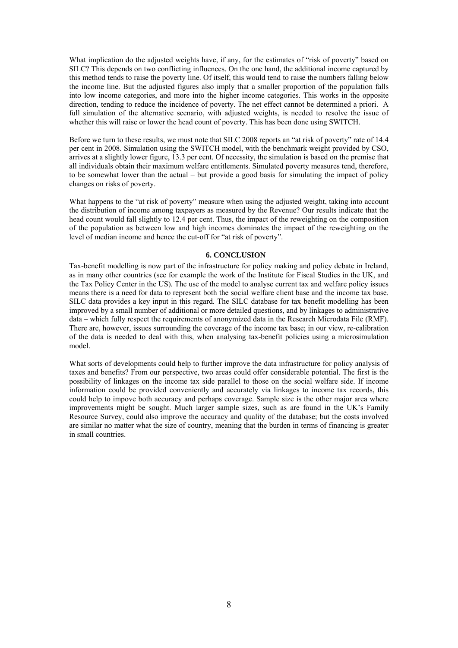What implication do the adjusted weights have, if any, for the estimates of "risk of poverty" based on SILC? This depends on two conflicting influences. On the one hand, the additional income captured by this method tends to raise the poverty line. Of itself, this would tend to raise the numbers falling below the income line. But the adjusted figures also imply that a smaller proportion of the population falls into low income categories, and more into the higher income categories. This works in the opposite direction, tending to reduce the incidence of poverty. The net effect cannot be determined a priori. A full simulation of the alternative scenario, with adjusted weights, is needed to resolve the issue of whether this will raise or lower the head count of poverty. This has been done using SWITCH.

Before we turn to these results, we must note that SILC 2008 reports an "at risk of poverty" rate of 14.4 per cent in 2008. Simulation using the SWITCH model, with the benchmark weight provided by CSO, arrives at a slightly lower figure, 13.3 per cent. Of necessity, the simulation is based on the premise that all individuals obtain their maximum welfare entitlements. Simulated poverty measures tend, therefore, to be somewhat lower than the actual – but provide a good basis for simulating the impact of policy changes on risks of poverty.

What happens to the "at risk of poverty" measure when using the adjusted weight, taking into account the distribution of income among taxpayers as measured by the Revenue? Our results indicate that the head count would fall slightly to 12.4 per cent. Thus, the impact of the reweighting on the composition of the population as between low and high incomes dominates the impact of the reweighting on the level of median income and hence the cut-off for "at risk of poverty".

### **6. CONCLUSION**

Tax-benefit modelling is now part of the infrastructure for policy making and policy debate in Ireland, as in many other countries (see for example the work of the Institute for Fiscal Studies in the UK, and the Tax Policy Center in the US). The use of the model to analyse current tax and welfare policy issues means there is a need for data to represent both the social welfare client base and the income tax base. SILC data provides a key input in this regard. The SILC database for tax benefit modelling has been improved by a small number of additional or more detailed questions, and by linkages to administrative data – which fully respect the requirements of anonymized data in the Research Microdata File (RMF). There are, however, issues surrounding the coverage of the income tax base; in our view, re-calibration of the data is needed to deal with this, when analysing tax-benefit policies using a microsimulation model.

What sorts of developments could help to further improve the data infrastructure for policy analysis of taxes and benefits? From our perspective, two areas could offer considerable potential. The first is the possibility of linkages on the income tax side parallel to those on the social welfare side. If income information could be provided conveniently and accurately via linkages to income tax records, this could help to impove both accuracy and perhaps coverage. Sample size is the other major area where improvements might be sought. Much larger sample sizes, such as are found in the UK's Family Resource Survey, could also improve the accuracy and quality of the database; but the costs involved are similar no matter what the size of country, meaning that the burden in terms of financing is greater in small countries.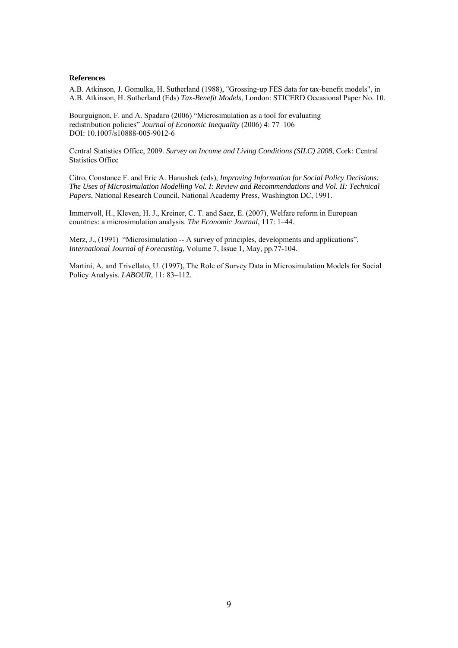## **References**

A.B. Atkinson, J. Gomulka, H. Sutherland (1988), "Grossing-up FES data for tax-benefit models", in A.B. Atkinson, H. Sutherland (Eds) *Tax-Benefit Models*, London: STICERD Occasional Paper No. 10.

Bourguignon, F. and A. Spadaro (2006) "Microsimulation as a tool for evaluating redistribution policies" *Journal of Economic Inequality* (2006) 4: 77–106 DOI: 10.1007/s10888-005-9012-6

Central Statistics Office, 2009. *Survey on Income and Living Conditions (SILC) 2008*, Cork: Central Statistics Office

Citro, Constance F. and Eric A. Hanushek (eds), *Improving Information for Social Policy Decisions: The Uses of Microsimulation Modelling Vol. I: Review and Recommendations and Vol. II: Technical Papers*, National Research Council, National Academy Press, Washington DC, 1991.

Immervoll, H., Kleven, H. J., Kreiner, C. T. and Saez, E. (2007), Welfare reform in European countries: a microsimulation analysis. *The Economic Journal*, 117: 1–44.

Merz, J., (1991) "Microsimulation -- A survey of principles, developments and applications", *International Journal of Forecasting*, Volume 7, Issue 1, May, pp.77-104.

Martini, A. and Trivellato, U. (1997), The Role of Survey Data in Microsimulation Models for Social Policy Analysis. *LABOUR*, 11: 83–112.